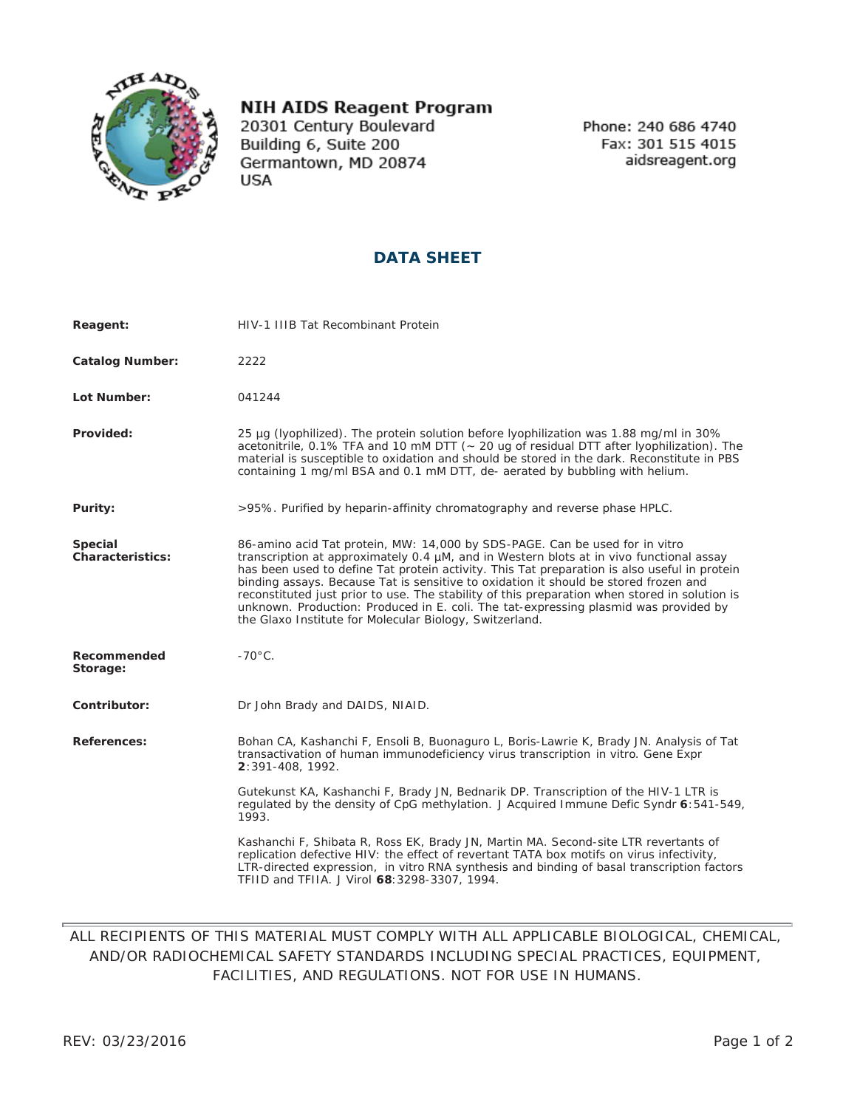

## **NIH AIDS Reagent Program**

20301 Century Boulevard Building 6, Suite 200 Germantown, MD 20874 **USA** 

Phone: 240 686 4740 Fax: 301 515 4015 aidsreagent.org

## **DATA SHEET**

| Reagent:                    | HIV-1 IIIB Tat Recombinant Protein                                                                                                                                                                                                                                                                                                                                                                                                                                                                                                                                                                                 |
|-----------------------------|--------------------------------------------------------------------------------------------------------------------------------------------------------------------------------------------------------------------------------------------------------------------------------------------------------------------------------------------------------------------------------------------------------------------------------------------------------------------------------------------------------------------------------------------------------------------------------------------------------------------|
| <b>Catalog Number:</b>      | 2222                                                                                                                                                                                                                                                                                                                                                                                                                                                                                                                                                                                                               |
| Lot Number:                 | 041244                                                                                                                                                                                                                                                                                                                                                                                                                                                                                                                                                                                                             |
| Provided:                   | 25 µq (lyophilized). The protein solution before lyophilization was 1.88 mg/ml in 30%<br>acetonitrile, 0.1% TFA and 10 mM DTT (~ 20 ug of residual DTT after lyophilization). The<br>material is susceptible to oxidation and should be stored in the dark. Reconstitute in PBS<br>containing 1 mg/ml BSA and 0.1 mM DTT, de- aerated by bubbling with helium.                                                                                                                                                                                                                                                     |
| Purity:                     | >95%. Purified by heparin-affinity chromatography and reverse phase HPLC.                                                                                                                                                                                                                                                                                                                                                                                                                                                                                                                                          |
| Special<br>Characteristics: | 86-amino acid Tat protein, MW: 14,000 by SDS-PAGE. Can be used for in vitro<br>transcription at approximately 0.4 µM, and in Western blots at in vivo functional assay<br>has been used to define Tat protein activity. This Tat preparation is also useful in protein<br>binding assays. Because Tat is sensitive to oxidation it should be stored frozen and<br>reconstituted just prior to use. The stability of this preparation when stored in solution is<br>unknown. Production: Produced in E. coli. The tat-expressing plasmid was provided by<br>the Glaxo Institute for Molecular Biology, Switzerland. |
| Recommended<br>Storage:     | $-70^{\circ}$ C.                                                                                                                                                                                                                                                                                                                                                                                                                                                                                                                                                                                                   |
| Contributor:                | Dr John Brady and DAIDS, NIAID.                                                                                                                                                                                                                                                                                                                                                                                                                                                                                                                                                                                    |
| References:                 | Bohan CA, Kashanchi F, Ensoli B, Buonaguro L, Boris-Lawrie K, Brady JN. Analysis of Tat<br>transactivation of human immunodeficiency virus transcription in vitro. Gene Expr<br>2:391-408, 1992.                                                                                                                                                                                                                                                                                                                                                                                                                   |
|                             | Gutekunst KA, Kashanchi F, Brady JN, Bednarik DP. Transcription of the HIV-1 LTR is<br>regulated by the density of CpG methylation. J Acquired Immune Defic Syndr 6:541-549,<br>1993.                                                                                                                                                                                                                                                                                                                                                                                                                              |
|                             | Kashanchi F, Shibata R, Ross EK, Brady JN, Martin MA. Second-site LTR revertants of<br>replication defective HIV: the effect of revertant TATA box motifs on virus infectivity,<br>LTR-directed expression, in vitro RNA synthesis and binding of basal transcription factors<br>TFIID and TFIIA. J Virol 68: 3298-3307, 1994.                                                                                                                                                                                                                                                                                     |

## ALL RECIPIENTS OF THIS MATERIAL MUST COMPLY WITH ALL APPLICABLE BIOLOGICAL, CHEMICAL, AND/OR RADIOCHEMICAL SAFETY STANDARDS INCLUDING SPECIAL PRACTICES, EQUIPMENT, FACILITIES, AND REGULATIONS. NOT FOR USE IN HUMANS.